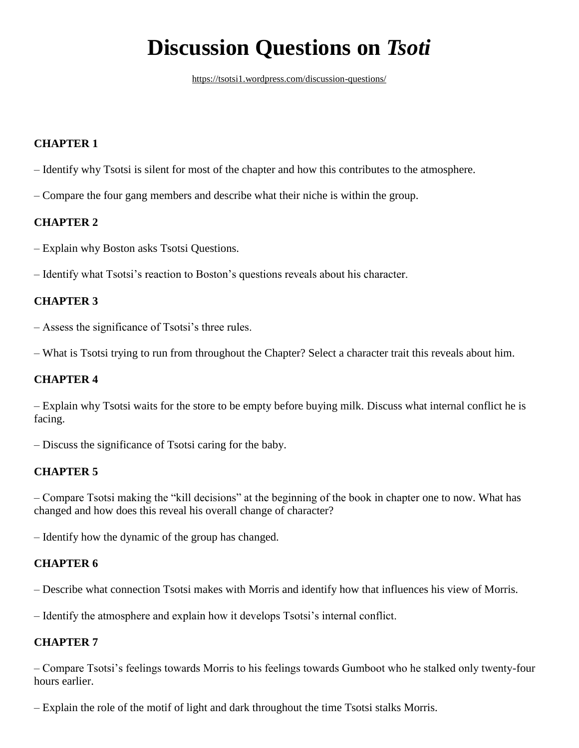# **Discussion Questions on** *Tsoti*

<https://tsotsi1.wordpress.com/discussion-questions/>

## **CHAPTER 1**

- Identify why Tsotsi is silent for most of the chapter and how this contributes to the atmosphere.
- Compare the four gang members and describe what their niche is within the group.

#### **CHAPTER 2**

- Explain why Boston asks Tsotsi Questions.
- Identify what Tsotsi's reaction to Boston's questions reveals about his character.

## **CHAPTER 3**

- Assess the significance of Tsotsi's three rules.
- What is Tsotsi trying to run from throughout the Chapter? Select a character trait this reveals about him.

## **CHAPTER 4**

– Explain why Tsotsi waits for the store to be empty before buying milk. Discuss what internal conflict he is facing.

– Discuss the significance of Tsotsi caring for the baby.

#### **CHAPTER 5**

– Compare Tsotsi making the "kill decisions" at the beginning of the book in chapter one to now. What has changed and how does this reveal his overall change of character?

– Identify how the dynamic of the group has changed.

## **CHAPTER 6**

– Describe what connection Tsotsi makes with Morris and identify how that influences his view of Morris.

– Identify the atmosphere and explain how it develops Tsotsi's internal conflict.

#### **CHAPTER 7**

– Compare Tsotsi's feelings towards Morris to his feelings towards Gumboot who he stalked only twenty-four hours earlier.

– Explain the role of the motif of light and dark throughout the time Tsotsi stalks Morris.